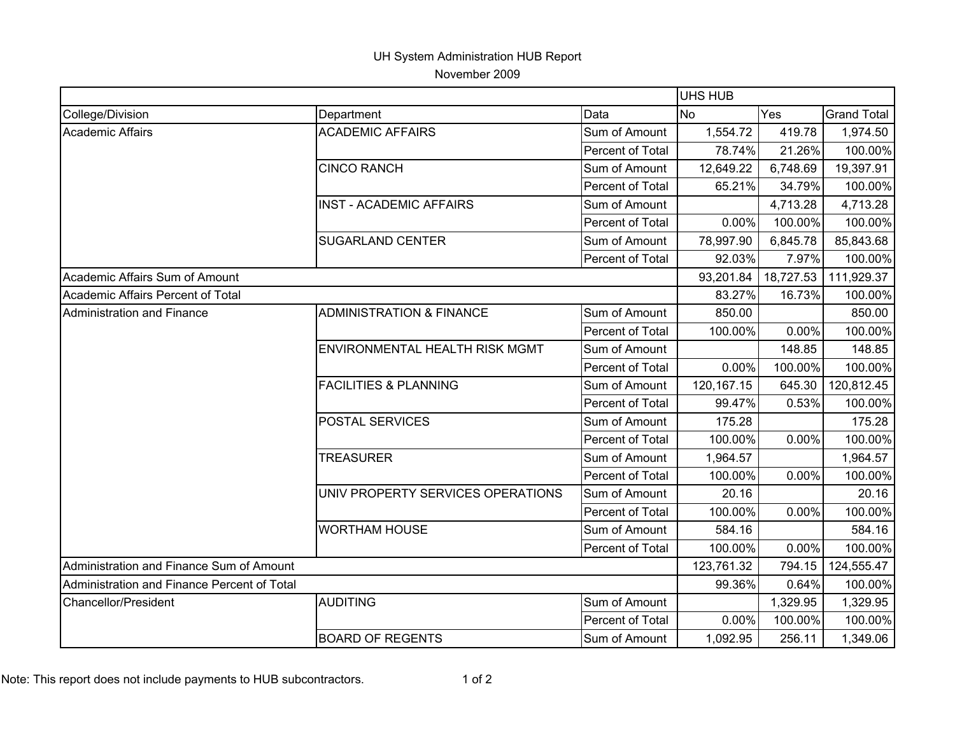## UH System Administration HUB Report

November 2009

|                                             |                                       |                  | <b>UHS HUB</b>   |           |                    |
|---------------------------------------------|---------------------------------------|------------------|------------------|-----------|--------------------|
| College/Division                            | Department                            | Data             | Yes<br><b>No</b> |           | <b>Grand Total</b> |
| <b>Academic Affairs</b>                     | <b>ACADEMIC AFFAIRS</b>               | Sum of Amount    | 1,554.72         | 419.78    | 1,974.50           |
|                                             |                                       | Percent of Total | 78.74%           | 21.26%    | 100.00%            |
|                                             | <b>CINCO RANCH</b>                    | Sum of Amount    | 12,649.22        | 6,748.69  | 19,397.91          |
|                                             |                                       | Percent of Total | 65.21%           | 34.79%    | 100.00%            |
|                                             | <b>INST - ACADEMIC AFFAIRS</b>        | Sum of Amount    |                  | 4,713.28  | 4,713.28           |
|                                             |                                       | Percent of Total | 0.00%            | 100.00%   | 100.00%            |
|                                             | <b>SUGARLAND CENTER</b>               | Sum of Amount    | 78,997.90        | 6,845.78  | 85,843.68          |
|                                             |                                       | Percent of Total | 92.03%           | 7.97%     | 100.00%            |
| Academic Affairs Sum of Amount              |                                       |                  | 93,201.84        | 18,727.53 | 111,929.37         |
| Academic Affairs Percent of Total           |                                       |                  | 83.27%           | 16.73%    | 100.00%            |
| <b>Administration and Finance</b>           | <b>ADMINISTRATION &amp; FINANCE</b>   | Sum of Amount    | 850.00           |           | 850.00             |
|                                             |                                       | Percent of Total | 100.00%          | 0.00%     | 100.00%            |
|                                             | <b>ENVIRONMENTAL HEALTH RISK MGMT</b> | Sum of Amount    |                  | 148.85    | 148.85             |
|                                             |                                       | Percent of Total | 0.00%            | 100.00%   | 100.00%            |
|                                             | <b>FACILITIES &amp; PLANNING</b>      | Sum of Amount    | 120, 167. 15     | 645.30    | 120,812.45         |
|                                             |                                       | Percent of Total | 99.47%           | 0.53%     | 100.00%            |
|                                             | <b>POSTAL SERVICES</b>                | Sum of Amount    | 175.28           |           | 175.28             |
|                                             |                                       | Percent of Total | 100.00%          | 0.00%     | 100.00%            |
|                                             | <b>TREASURER</b>                      | Sum of Amount    | 1,964.57         |           | 1,964.57           |
|                                             |                                       | Percent of Total | 100.00%          | 0.00%     | 100.00%            |
|                                             | UNIV PROPERTY SERVICES OPERATIONS     | Sum of Amount    | 20.16            |           | 20.16              |
|                                             |                                       | Percent of Total | 100.00%          | 0.00%     | 100.00%            |
|                                             | <b>WORTHAM HOUSE</b>                  | Sum of Amount    | 584.16           |           | 584.16             |
|                                             |                                       | Percent of Total | 100.00%          | 0.00%     | 100.00%            |
| Administration and Finance Sum of Amount    |                                       |                  | 123,761.32       | 794.15    | 124,555.47         |
| Administration and Finance Percent of Total |                                       |                  | 99.36%           | 0.64%     | 100.00%            |
| Chancellor/President                        | <b>AUDITING</b>                       | Sum of Amount    |                  | 1,329.95  | 1,329.95           |
|                                             |                                       | Percent of Total | 0.00%            | 100.00%   | 100.00%            |
|                                             | <b>BOARD OF REGENTS</b>               | Sum of Amount    | 1,092.95         | 256.11    | 1,349.06           |